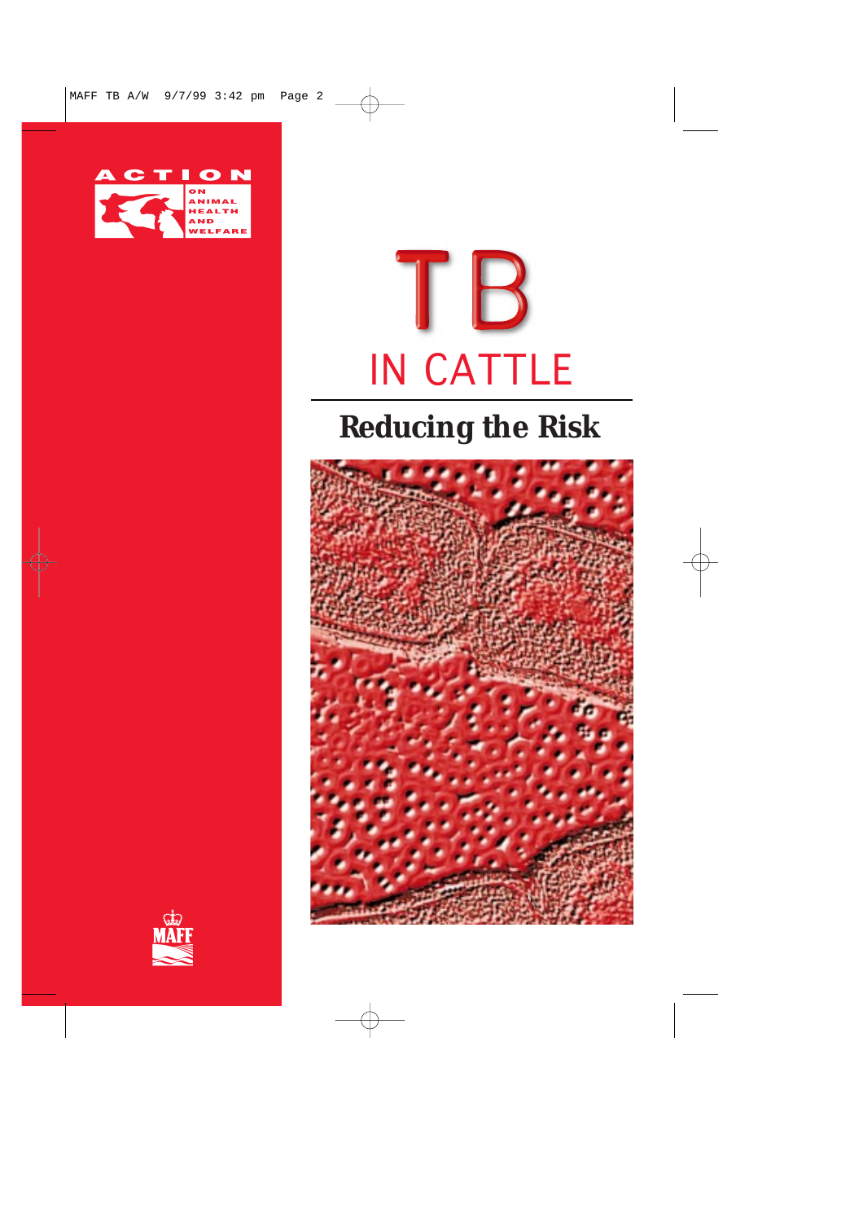



## **Reducing the Risk**



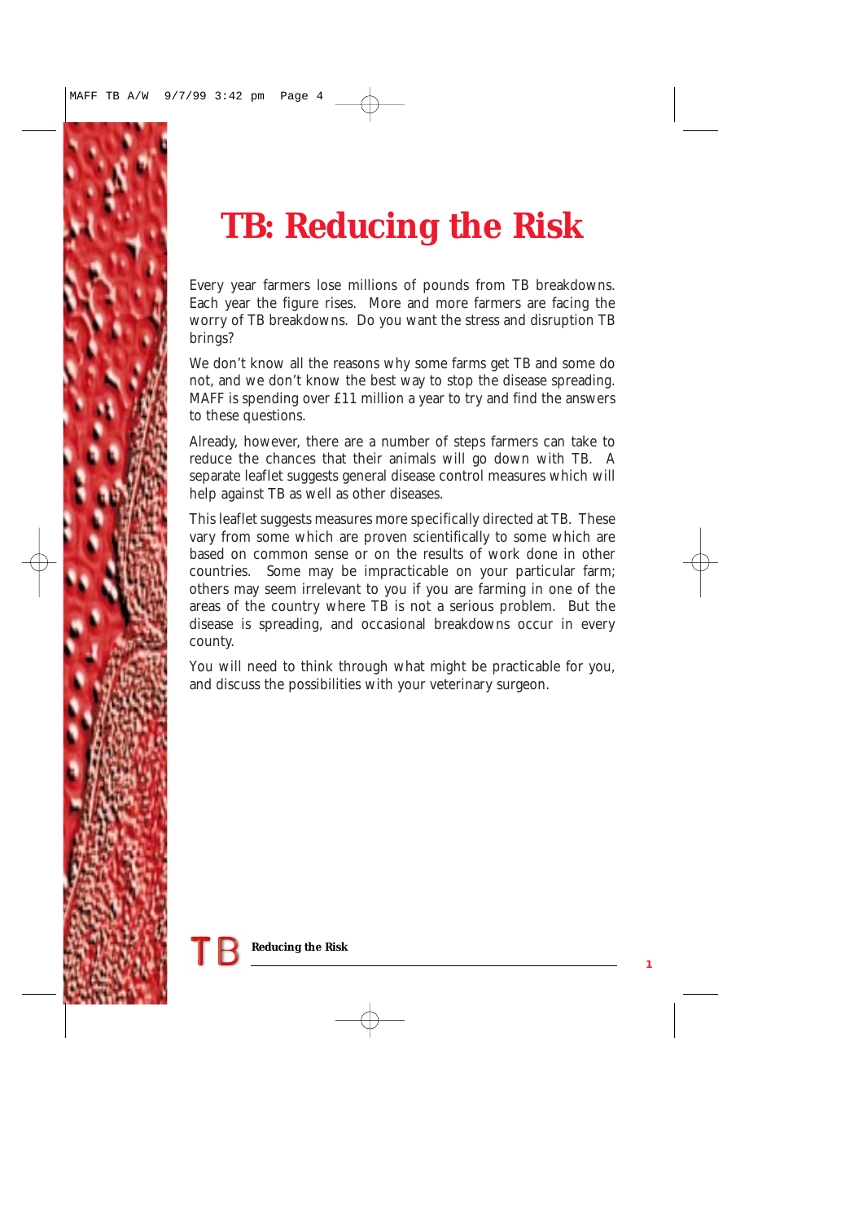

# **TB: Reducing the Risk**

Every year farmers lose millions of pounds from TB breakdowns. Each year the figure rises. More and more farmers are facing the worry of TB breakdowns. Do you want the stress and disruption TB brings?

We don't know all the reasons why some farms get TB and some do not, and we don't know the best way to stop the disease spreading. MAFF is spending over £11 million a year to try and find the answers to these questions.

Already, however, there are a number of steps farmers can take to reduce the chances that their animals will go down with TB. A separate leaflet suggests general disease control measures which will help against TB as well as other diseases.

This leaflet suggests measures more specifically directed at TB. These vary from some which are proven scientifically to some which are based on common sense or on the results of work done in other countries. Some may be impracticable on your particular farm; others may seem irrelevant to you if you are farming in one of the areas of the country where TB is not a serious problem. But the disease is spreading, and occasional breakdowns occur in every county.

You will need to think through what might be practicable for you, and discuss the possibilities with your veterinary surgeon.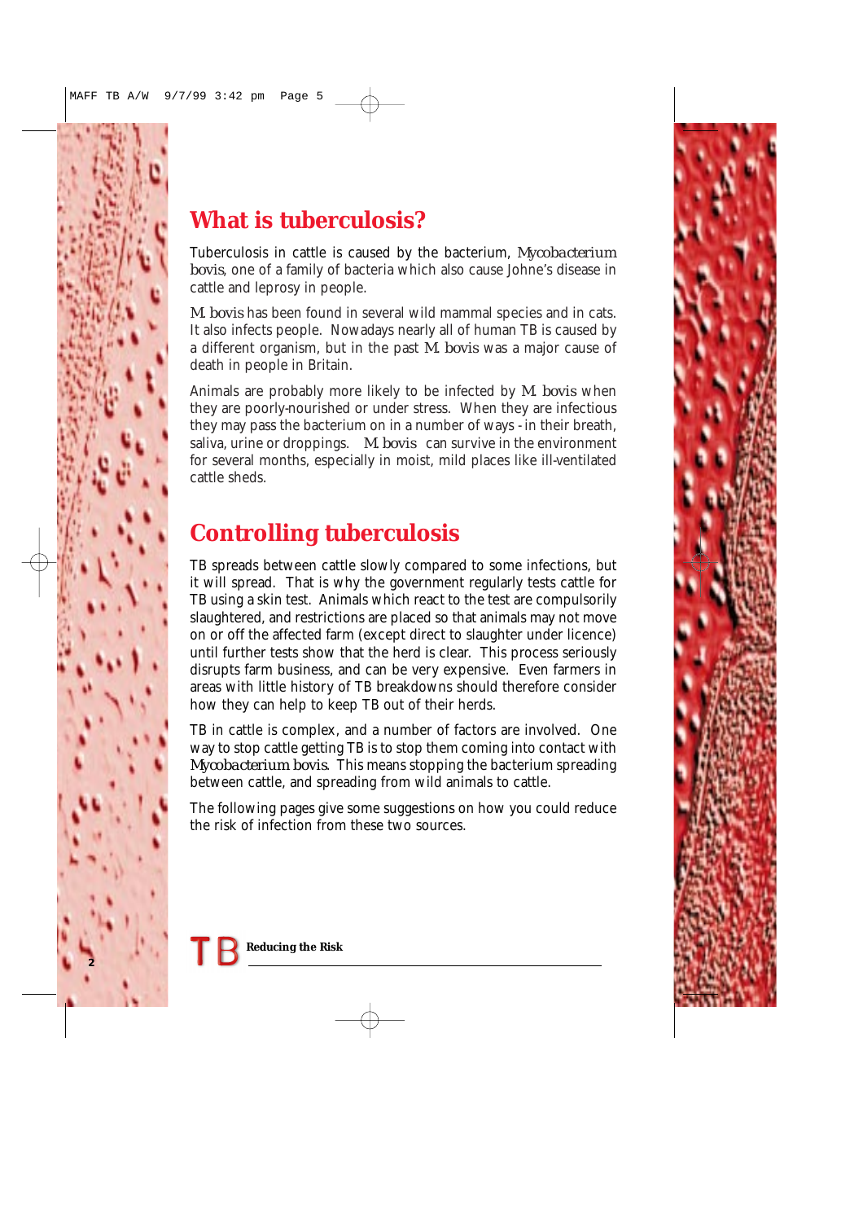#### **What is tuberculosis?**

Tuberculosis in cattle is caused by the bacterium, *Mycobacterium bovis*, one of a family of bacteria which also cause Johne's disease in cattle and leprosy in people.

*M. bovis* has been found in several wild mammal species and in cats. It also infects people. Nowadays nearly all of human TB is caused by a different organism, but in the past *M. bovis* was a major cause of death in people in Britain.

Animals are probably more likely to be infected by *M. bovis* when they are poorly-nourished or under stress. When they are infectious they may pass the bacterium on in a number of ways - in their breath, saliva, urine or droppings. *M. bovis* can survive in the environment for several months, especially in moist, mild places like ill-ventilated cattle sheds.

#### **Controlling tuberculosis**

TB spreads between cattle slowly compared to some infections, but it will spread. That is why the government regularly tests cattle for TB using a skin test. Animals which react to the test are compulsorily slaughtered, and restrictions are placed so that animals may not move on or off the affected farm (except direct to slaughter under licence) until further tests show that the herd is clear. This process seriously disrupts farm business, and can be very expensive. Even farmers in areas with little history of TB breakdowns should therefore consider how they can help to keep TB out of their herds.

TB in cattle is complex, and a number of factors are involved. One way to stop cattle getting TB is to stop them coming into contact with *Mycobacterium bovis*. This means stopping the bacterium spreading between cattle, and spreading from wild animals to cattle.

The following pages give some suggestions on how you could reduce the risk of infection from these two sources.



**2**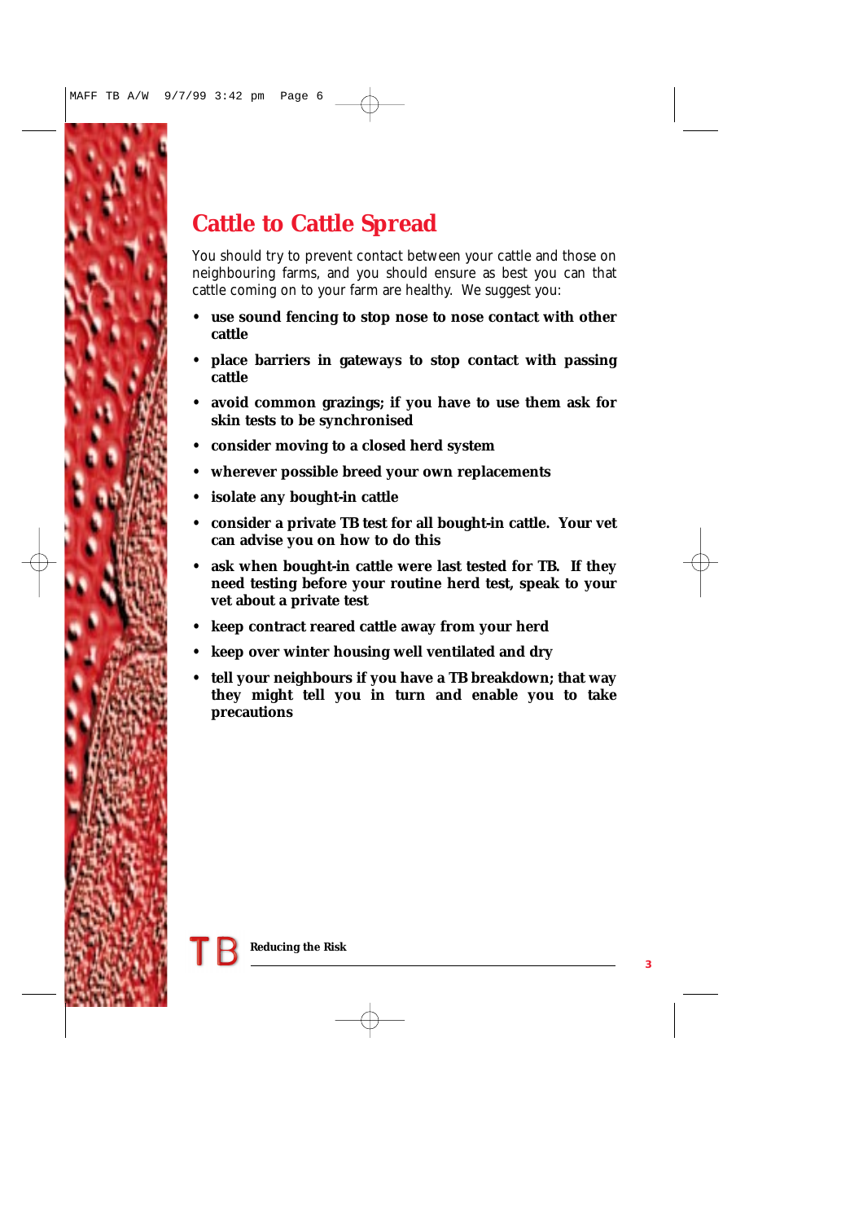## **Cattle to Cattle Spread**

You should try to prevent contact between your cattle and those on neighbouring farms, and you should ensure as best you can that cattle coming on to your farm are healthy. We suggest you:

- **use sound fencing to stop nose to nose contact with other cattle**
- **place barriers in gateways to stop contact with passing cattle**
- **avoid common grazings; if you have to use them ask for skin tests to be synchronised**
- **consider moving to a closed herd system**
- **wherever possible breed your own replacements**
- **isolate any bought-in cattle**
- **consider a private TB test for all bought-in cattle. Your vet can advise you on how to do this**
- **ask when bought-in cattle were last tested for TB. If they need testing before your routine herd test, speak to your vet about a private test**
- **keep contract reared cattle away from your herd**
- **keep over winter housing well ventilated and dry**
- **tell your neighbours if you have a TB breakdown; that way they might tell you in turn and enable you to take precautions**

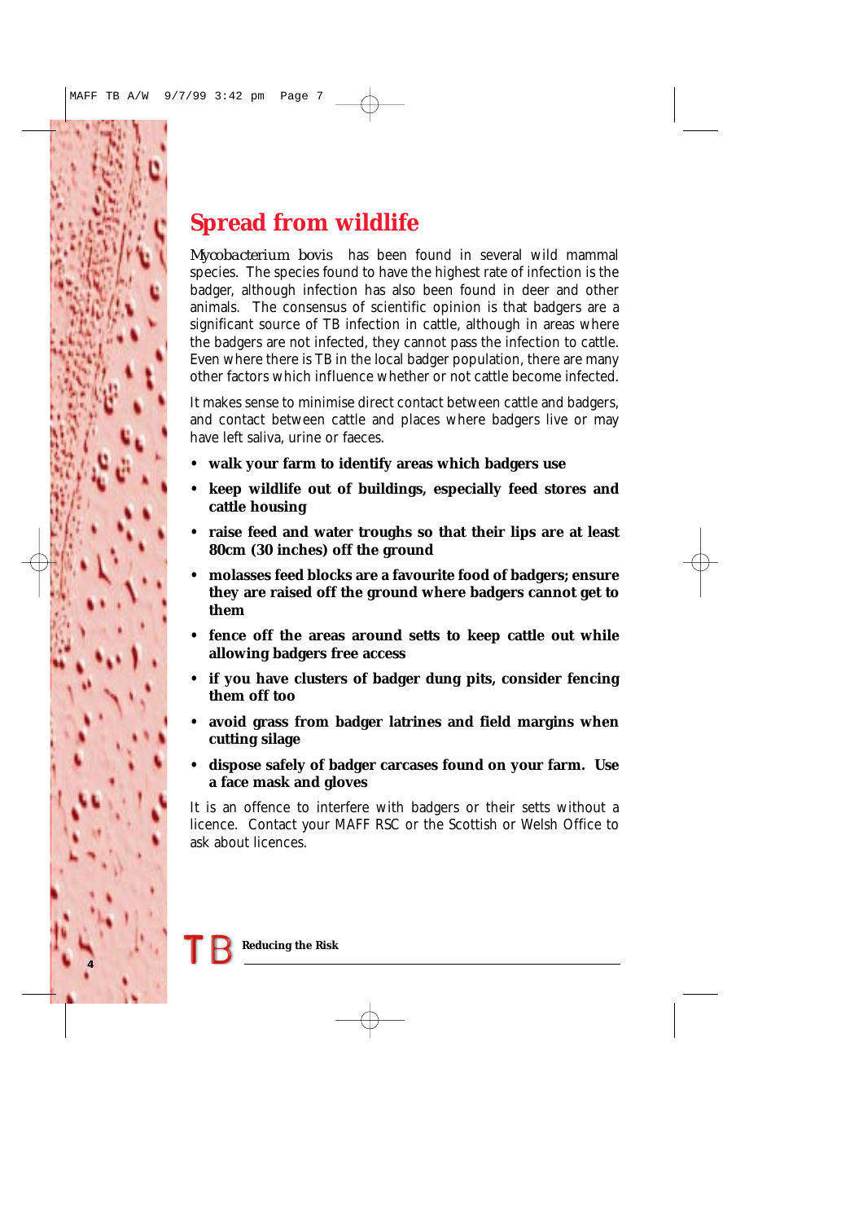#### **Spread from wildlife**

*Mycobacterium bovis* has been found in several wild mammal species. The species found to have the highest rate of infection is the badger, although infection has also been found in deer and other animals. The consensus of scientific opinion is that badgers are a significant source of TB infection in cattle, although in areas where the badgers are not infected, they cannot pass the infection to cattle. Even where there is TB in the local badger population, there are many other factors which influence whether or not cattle become infected.

It makes sense to minimise direct contact between cattle and badgers, and contact between cattle and places where badgers live or may have left saliva, urine or faeces.

- **walk your farm to identify areas which badgers use**
- **keep wildlife out of buildings, especially feed stores and cattle housing**
- **raise feed and water troughs so that their lips are at least 80cm (30 inches) off the ground**
- **molasses feed blocks are a favourite food of badgers; ensure they are raised off the ground where badgers cannot get to them**
- **fence off the areas around setts to keep cattle out while allowing badgers free access**
- **if you have clusters of badger dung pits, consider fencing them off too**
- **avoid grass from badger latrines and field margins when cutting silage**
- **dispose safely of badger carcases found on your farm. Use a face mask and gloves**

It is an offence to interfere with badgers or their setts without a licence. Contact your MAFF RSC or the Scottish or Welsh Office to ask about licences.

**4**